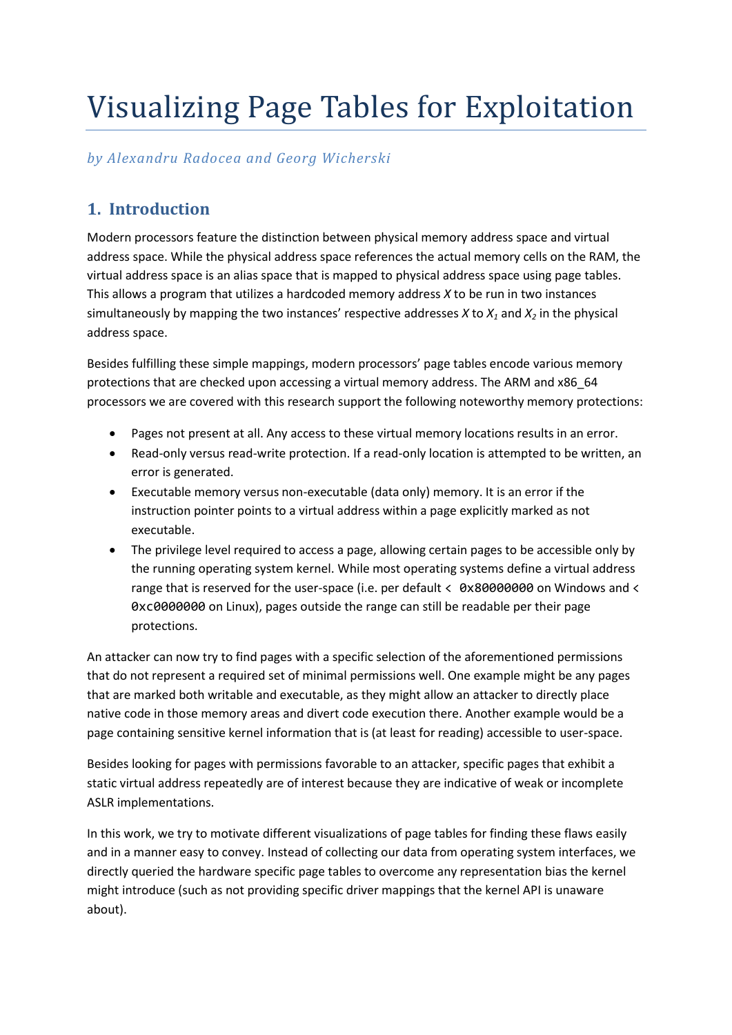# Visualizing Page Tables for Exploitation

# *by Alexandru Radocea and Georg Wicherski*

# **1. Introduction**

Modern processors feature the distinction between physical memory address space and virtual address space. While the physical address space references the actual memory cells on the RAM, the virtual address space is an alias space that is mapped to physical address space using page tables. This allows a program that utilizes a hardcoded memory address *X* to be run in two instances simultaneously by mapping the two instances' respective addresses *X* to *X<sup>1</sup>* and *X<sup>2</sup>* in the physical address space.

Besides fulfilling these simple mappings, modern processors' page tables encode various memory protections that are checked upon accessing a virtual memory address. The ARM and x86\_64 processors we are covered with this research support the following noteworthy memory protections:

- Pages not present at all. Any access to these virtual memory locations results in an error.
- Read-only versus read-write protection. If a read-only location is attempted to be written, an error is generated.
- Executable memory versus non-executable (data only) memory. It is an error if the instruction pointer points to a virtual address within a page explicitly marked as not executable.
- The privilege level required to access a page, allowing certain pages to be accessible only by the running operating system kernel. While most operating systems define a virtual address range that is reserved for the user-space (i.e. per default < 0x80000000 on Windows and < 0xc0000000 on Linux), pages outside the range can still be readable per their page protections.

An attacker can now try to find pages with a specific selection of the aforementioned permissions that do not represent a required set of minimal permissions well. One example might be any pages that are marked both writable and executable, as they might allow an attacker to directly place native code in those memory areas and divert code execution there. Another example would be a page containing sensitive kernel information that is (at least for reading) accessible to user-space.

Besides looking for pages with permissions favorable to an attacker, specific pages that exhibit a static virtual address repeatedly are of interest because they are indicative of weak or incomplete ASLR implementations.

In this work, we try to motivate different visualizations of page tables for finding these flaws easily and in a manner easy to convey. Instead of collecting our data from operating system interfaces, we directly queried the hardware specific page tables to overcome any representation bias the kernel might introduce (such as not providing specific driver mappings that the kernel API is unaware about).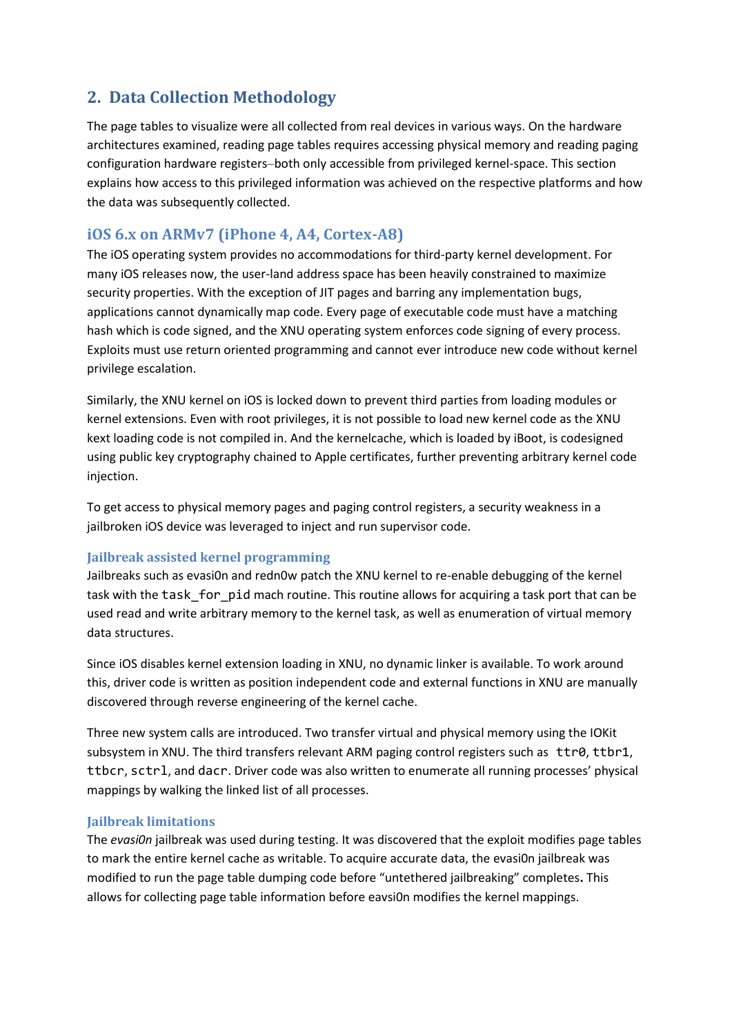# **2. Data Collection Methodology**

The page tables to visualize were all collected from real devices in various ways. On the hardware architectures examined, reading page tables requires accessing physical memory and reading paging configuration hardware registers–both only accessible from privileged kernel-space. This section explains how access to this privileged information was achieved on the respective platforms and how the data was subsequently collected.

# **iOS 6.x on ARMv7 (iPhone 4, A4, Cortex-A8)**

The iOS operating system provides no accommodations for third-party kernel development. For many iOS releases now, the user-land address space has been heavily constrained to maximize security properties. With the exception of JIT pages and barring any implementation bugs, applications cannot dynamically map code. Every page of executable code must have a matching hash which is code signed, and the XNU operating system enforces code signing of every process. Exploits must use return oriented programming and cannot ever introduce new code without kernel privilege escalation.

Similarly, the XNU kernel on iOS is locked down to prevent third parties from loading modules or kernel extensions. Even with root privileges, it is not possible to load new kernel code as the XNU kext loading code is not compiled in. And the kernelcache, which is loaded by iBoot, is codesigned using public key cryptography chained to Apple certificates, further preventing arbitrary kernel code injection.

To get access to physical memory pages and paging control registers, a security weakness in a jailbroken iOS device was leveraged to inject and run supervisor code.

## **Jailbreak assisted kernel programming**

Jailbreaks such as evasi0n and redn0w patch the XNU kernel to re-enable debugging of the kernel task with the task for pid mach routine. This routine allows for acquiring a task port that can be used read and write arbitrary memory to the kernel task, as well as enumeration of virtual memory data structures.

Since iOS disables kernel extension loading in XNU, no dynamic linker is available. To work around this, driver code is written as position independent code and external functions in XNU are manually discovered through reverse engineering of the kernel cache.

Three new system calls are introduced. Two transfer virtual and physical memory using the IOKit subsystem in XNU. The third transfers relevant ARM paging control registers such as ttr0, ttbr1, ttbcr, sctrl, and dacr. Driver code was also written to enumerate all running processes' physical mappings by walking the linked list of all processes.

## **Jailbreak limitations**

The *evasi0n* jailbreak was used during testing. It was discovered that the exploit modifies page tables to mark the entire kernel cache as writable. To acquire accurate data, the evasi0n jailbreak was modified to run the page table dumping code before "untethered jailbreaking" completes**.** This allows for collecting page table information before eavsi0n modifies the kernel mappings.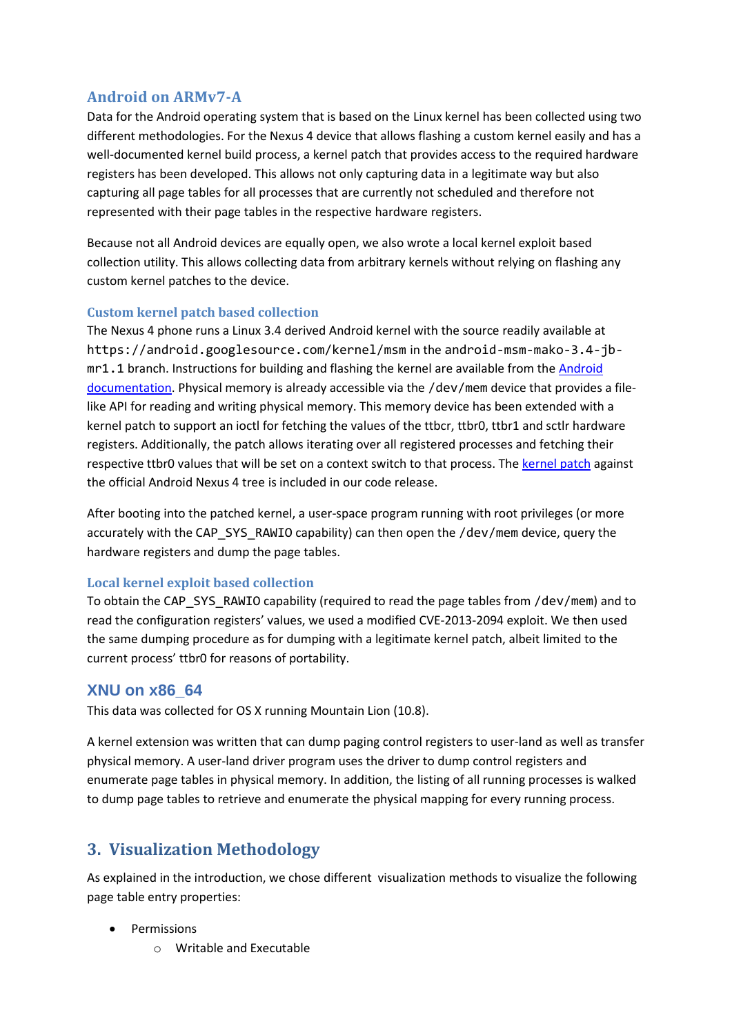# **Android on ARMv7-A**

Data for the Android operating system that is based on the Linux kernel has been collected using two different methodologies. For the Nexus 4 device that allows flashing a custom kernel easily and has a well-documented kernel build process, a kernel patch that provides access to the required hardware registers has been developed. This allows not only capturing data in a legitimate way but also capturing all page tables for all processes that are currently not scheduled and therefore not represented with their page tables in the respective hardware registers.

Because not all Android devices are equally open, we also wrote a local kernel exploit based collection utility. This allows collecting data from arbitrary kernels without relying on flashing any custom kernel patches to the device.

## **Custom kernel patch based collection**

The Nexus 4 phone runs a Linux 3.4 derived Android kernel with the source readily available at https://android.googlesource.com/kernel/msm in the android-msm-mako-3.4-jbmr1.1 branch. Instructions for building and flashing the kernel are available from th[e Android](http://source.android.com/source/building-kernels.html)  [documentation.](http://source.android.com/source/building-kernels.html) Physical memory is already accessible via the /dev/mem device that provides a filelike API for reading and writing physical memory. This memory device has been extended with a kernel patch to support an ioctl for fetching the values of the ttbcr, ttbr0, ttbr1 and sctlr hardware registers. Additionally, the patch allows iterating over all registered processes and fetching their respective ttbr0 values that will be set on a context switch to that process. Th[e kernel patch](https://gist.github.com/oxff/4080053b1041001d6209) against the official Android Nexus 4 tree is included in our code release.

After booting into the patched kernel, a user-space program running with root privileges (or more accurately with the CAP\_SYS\_RAWIO capability) can then open the /dev/mem device, query the hardware registers and dump the page tables.

# **Local kernel exploit based collection**

To obtain the CAP\_SYS\_RAWIO capability (required to read the page tables from /dev/mem) and to read the configuration registers' values, we used a modified CVE-2013-2094 exploit. We then used the same dumping procedure as for dumping with a legitimate kernel patch, albeit limited to the current process' ttbr0 for reasons of portability.

# **XNU on x86\_64**

This data was collected for OS X running Mountain Lion (10.8).

A kernel extension was written that can dump paging control registers to user-land as well as transfer physical memory. A user-land driver program uses the driver to dump control registers and enumerate page tables in physical memory. In addition, the listing of all running processes is walked to dump page tables to retrieve and enumerate the physical mapping for every running process.

# **3. Visualization Methodology**

As explained in the introduction, we chose different visualization methods to visualize the following page table entry properties:

- Permissions
	- o Writable and Executable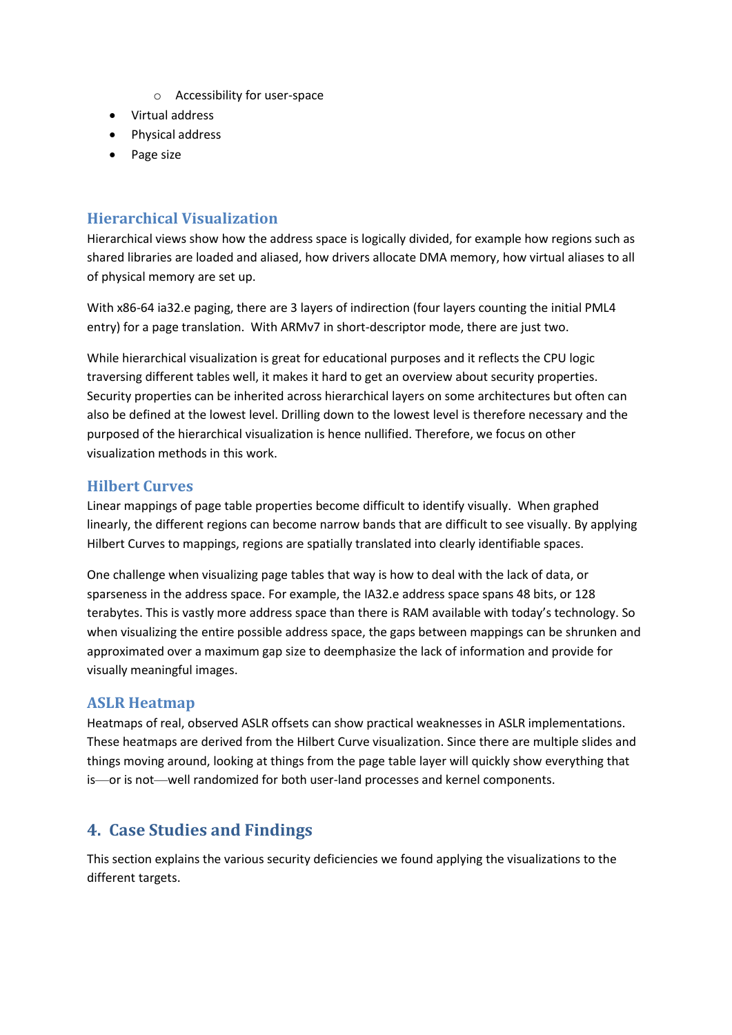- o Accessibility for user-space
- Virtual address
- Physical address
- Page size

# **Hierarchical Visualization**

Hierarchical views show how the address space is logically divided, for example how regions such as shared libraries are loaded and aliased, how drivers allocate DMA memory, how virtual aliases to all of physical memory are set up.

With x86-64 ia32.e paging, there are 3 layers of indirection (four layers counting the initial PML4 entry) for a page translation. With ARMv7 in short-descriptor mode, there are just two.

While hierarchical visualization is great for educational purposes and it reflects the CPU logic traversing different tables well, it makes it hard to get an overview about security properties. Security properties can be inherited across hierarchical layers on some architectures but often can also be defined at the lowest level. Drilling down to the lowest level is therefore necessary and the purposed of the hierarchical visualization is hence nullified. Therefore, we focus on other visualization methods in this work.

# **Hilbert Curves**

Linear mappings of page table properties become difficult to identify visually. When graphed linearly, the different regions can become narrow bands that are difficult to see visually. By applying Hilbert Curves to mappings, regions are spatially translated into clearly identifiable spaces.

One challenge when visualizing page tables that way is how to deal with the lack of data, or sparseness in the address space. For example, the IA32.e address space spans 48 bits, or 128 terabytes. This is vastly more address space than there is RAM available with today's technology. So when visualizing the entire possible address space, the gaps between mappings can be shrunken and approximated over a maximum gap size to deemphasize the lack of information and provide for visually meaningful images.

# **ASLR Heatmap**

Heatmaps of real, observed ASLR offsets can show practical weaknesses in ASLR implementations. These heatmaps are derived from the Hilbert Curve visualization. Since there are multiple slides and things moving around, looking at things from the page table layer will quickly show everything that is—or is not—well randomized for both user-land processes and kernel components.

# **4. Case Studies and Findings**

This section explains the various security deficiencies we found applying the visualizations to the different targets.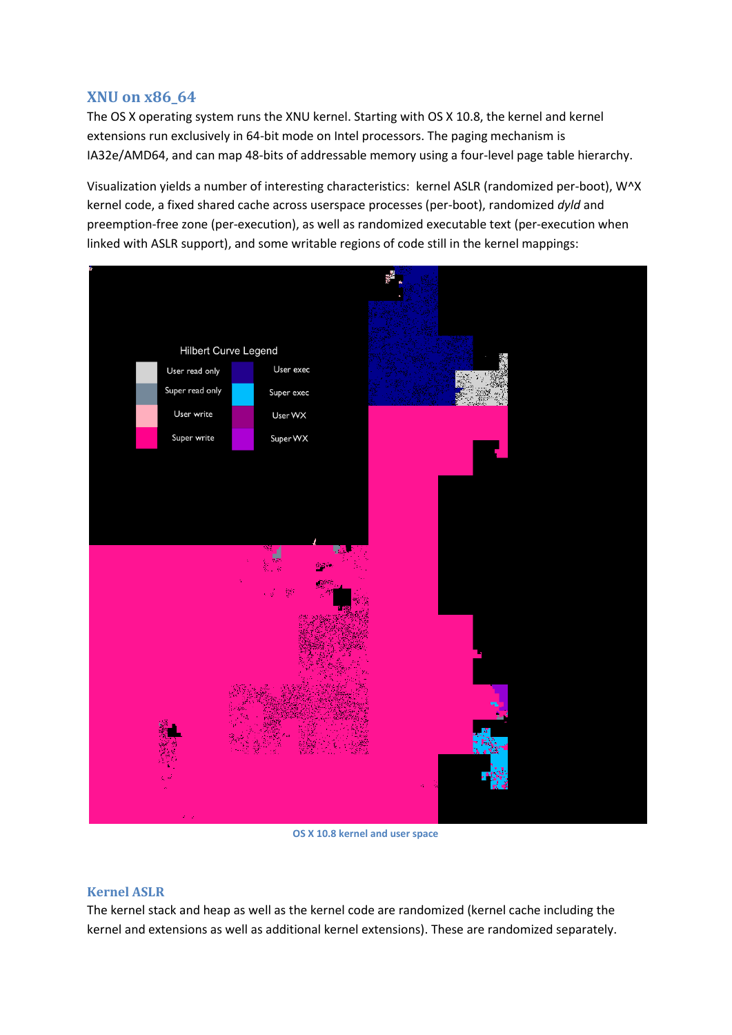# **XNU on x86\_64**

The OS X operating system runs the XNU kernel. Starting with OS X 10.8, the kernel and kernel extensions run exclusively in 64-bit mode on Intel processors. The paging mechanism is IA32e/AMD64, and can map 48-bits of addressable memory using a four-level page table hierarchy.

Visualization yields a number of interesting characteristics: kernel ASLR (randomized per-boot), W^X kernel code, a fixed shared cache across userspace processes (per-boot), randomized *dyld* and preemption-free zone (per-execution), as well as randomized executable text (per-execution when linked with ASLR support), and some writable regions of code still in the kernel mappings:



**OS X 10.8 kernel and user space**

#### **Kernel ASLR**

The kernel stack and heap as well as the kernel code are randomized (kernel cache including the kernel and extensions as well as additional kernel extensions). These are randomized separately.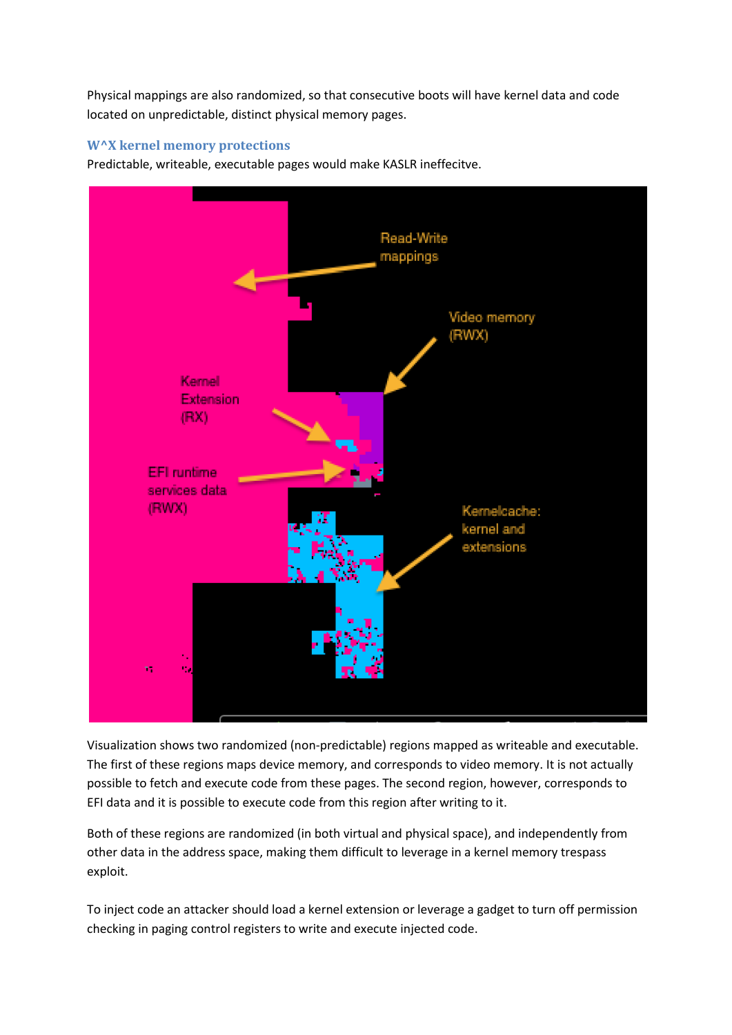Physical mappings are also randomized, so that consecutive boots will have kernel data and code located on unpredictable, distinct physical memory pages.

## **W^X kernel memory protections**

Predictable, writeable, executable pages would make KASLR ineffecitve.



Visualization shows two randomized (non-predictable) regions mapped as writeable and executable. The first of these regions maps device memory, and corresponds to video memory. It is not actually possible to fetch and execute code from these pages. The second region, however, corresponds to EFI data and it is possible to execute code from this region after writing to it.

Both of these regions are randomized (in both virtual and physical space), and independently from other data in the address space, making them difficult to leverage in a kernel memory trespass exploit.

To inject code an attacker should load a kernel extension or leverage a gadget to turn off permission checking in paging control registers to write and execute injected code.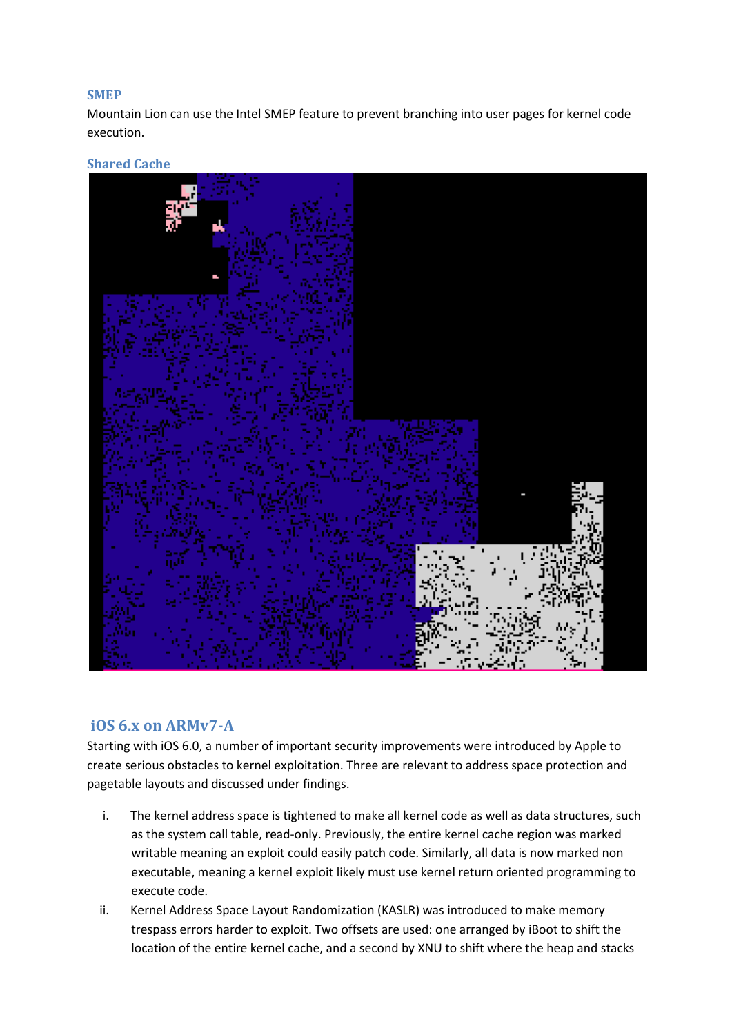## **SMEP**

Mountain Lion can use the Intel SMEP feature to prevent branching into user pages for kernel code execution.

## **Shared Cache**



# **iOS 6.x on ARMv7-A**

Starting with iOS 6.0, a number of important security improvements were introduced by Apple to create serious obstacles to kernel exploitation. Three are relevant to address space protection and pagetable layouts and discussed under findings.

- i. The kernel address space is tightened to make all kernel code as well as data structures, such as the system call table, read-only. Previously, the entire kernel cache region was marked writable meaning an exploit could easily patch code. Similarly, all data is now marked non executable, meaning a kernel exploit likely must use kernel return oriented programming to execute code.
- ii. Kernel Address Space Layout Randomization (KASLR) was introduced to make memory trespass errors harder to exploit. Two offsets are used: one arranged by iBoot to shift the location of the entire kernel cache, and a second by XNU to shift where the heap and stacks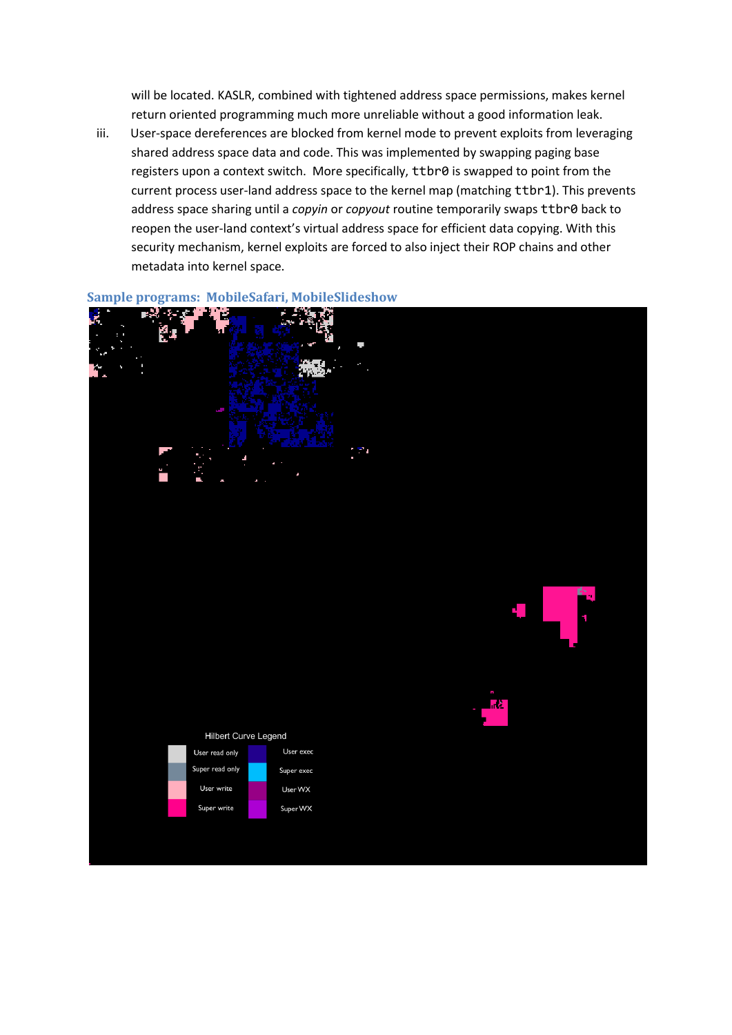will be located. KASLR, combined with tightened address space permissions, makes kernel return oriented programming much more unreliable without a good information leak.

iii. User-space dereferences are blocked from kernel mode to prevent exploits from leveraging shared address space data and code. This was implemented by swapping paging base registers upon a context switch. More specifically, ttbr0 is swapped to point from the current process user-land address space to the kernel map (matching ttbr1). This prevents address space sharing until a *copyin* or *copyout* routine temporarily swaps ttbr0 back to reopen the user-land context's virtual address space for efficient data copying. With this security mechanism, kernel exploits are forced to also inject their ROP chains and other metadata into kernel space.



# **Sample programs: MobileSafari, MobileSlideshow**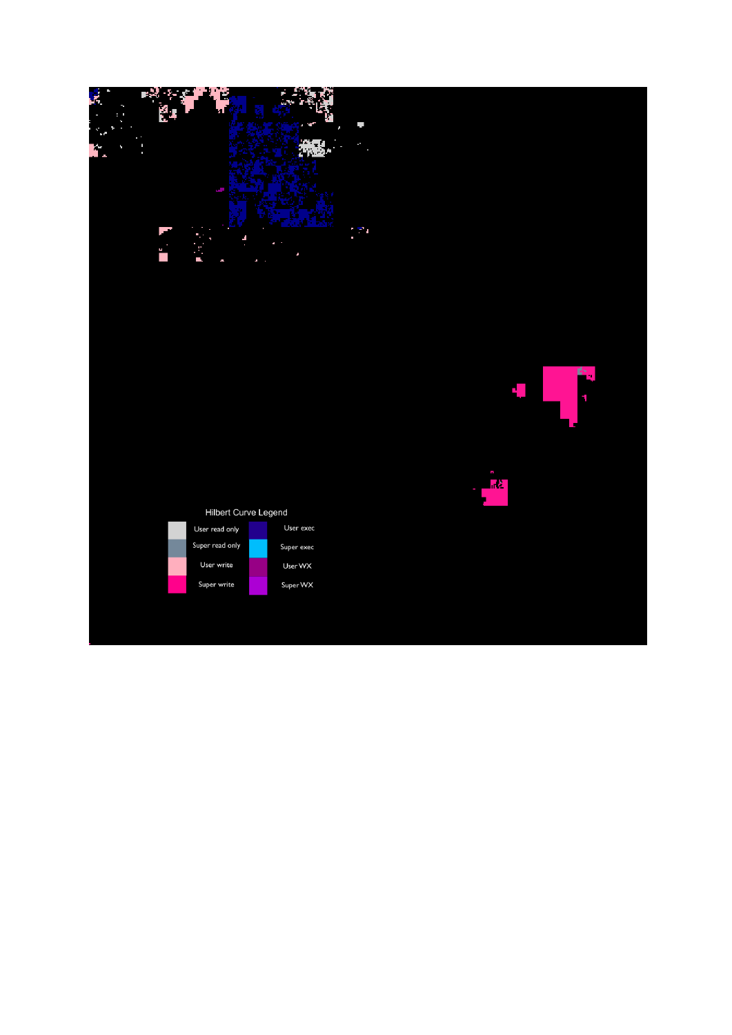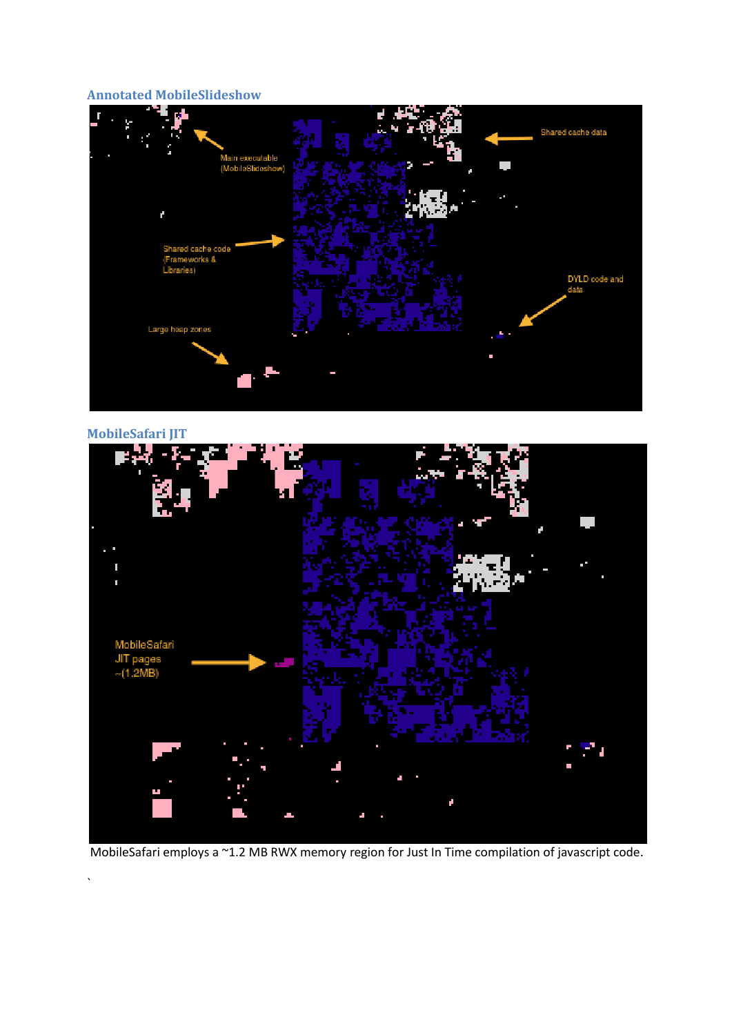#### **Annotated MobileSlideshow**



**MobileSafari JIT**

`



MobileSafari employs a ~1.2 MB RWX memory region for Just In Time compilation of javascript code.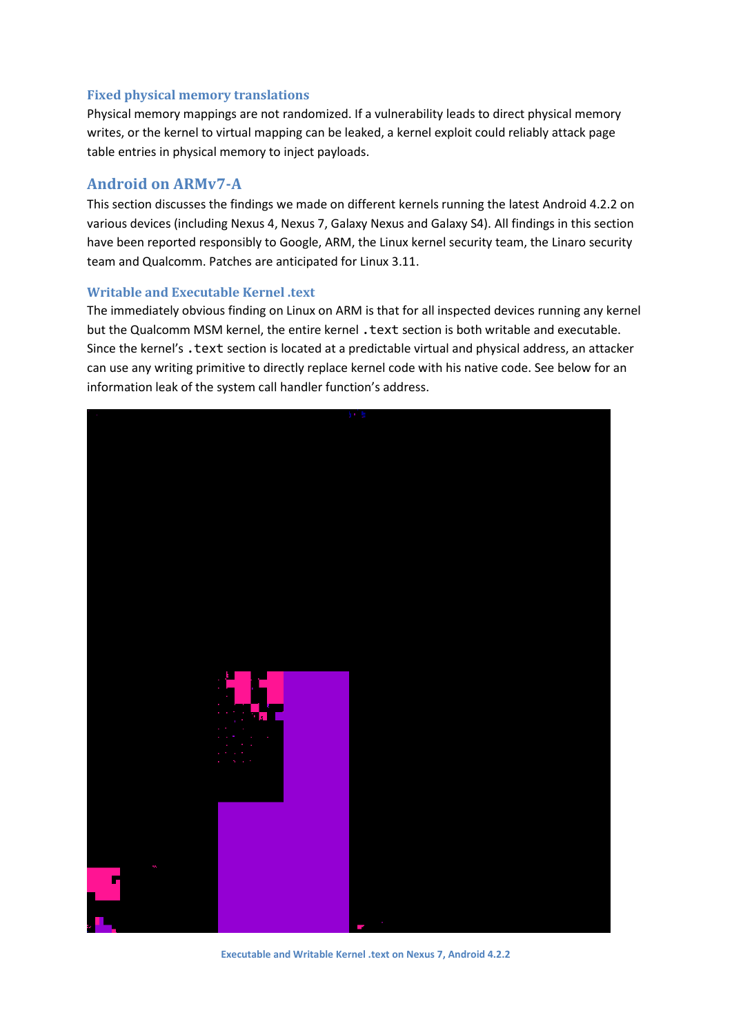## **Fixed physical memory translations**

Physical memory mappings are not randomized. If a vulnerability leads to direct physical memory writes, or the kernel to virtual mapping can be leaked, a kernel exploit could reliably attack page table entries in physical memory to inject payloads.

## **Android on ARMv7-A**

This section discusses the findings we made on different kernels running the latest Android 4.2.2 on various devices (including Nexus 4, Nexus 7, Galaxy Nexus and Galaxy S4). All findings in this section have been reported responsibly to Google, ARM, the Linux kernel security team, the Linaro security team and Qualcomm. Patches are anticipated for Linux 3.11.

#### **Writable and Executable Kernel .text**

The immediately obvious finding on Linux on ARM is that for all inspected devices running any kernel but the Qualcomm MSM kernel, the entire kernel . text section is both writable and executable. Since the kernel's . text section is located at a predictable virtual and physical address, an attacker can use any writing primitive to directly replace kernel code with his native code. See below for an information leak of the system call handler function's address.



**Executable and Writable Kernel .text on Nexus 7, Android 4.2.2**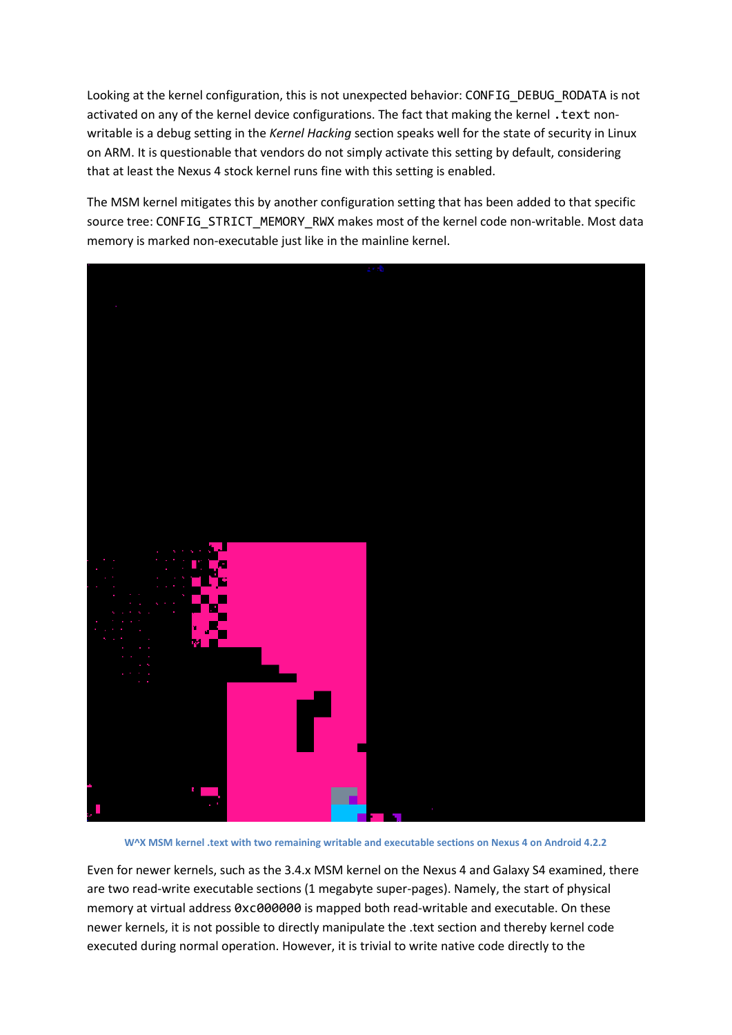Looking at the kernel configuration, this is not unexpected behavior: CONFIG\_DEBUG\_RODATA is not activated on any of the kernel device configurations. The fact that making the kernel . text nonwritable is a debug setting in the *Kernel Hacking* section speaks well for the state of security in Linux on ARM. It is questionable that vendors do not simply activate this setting by default, considering that at least the Nexus 4 stock kernel runs fine with this setting is enabled.

The MSM kernel mitigates this by another configuration setting that has been added to that specific source tree: CONFIG\_STRICT\_MEMORY\_RWX makes most of the kernel code non-writable. Most data memory is marked non-executable just like in the mainline kernel.



**W^X MSM kernel .text with two remaining writable and executable sections on Nexus 4 on Android 4.2.2**

Even for newer kernels, such as the 3.4.x MSM kernel on the Nexus 4 and Galaxy S4 examined, there are two read-write executable sections (1 megabyte super-pages). Namely, the start of physical memory at virtual address 0xc000000 is mapped both read-writable and executable. On these newer kernels, it is not possible to directly manipulate the .text section and thereby kernel code executed during normal operation. However, it is trivial to write native code directly to the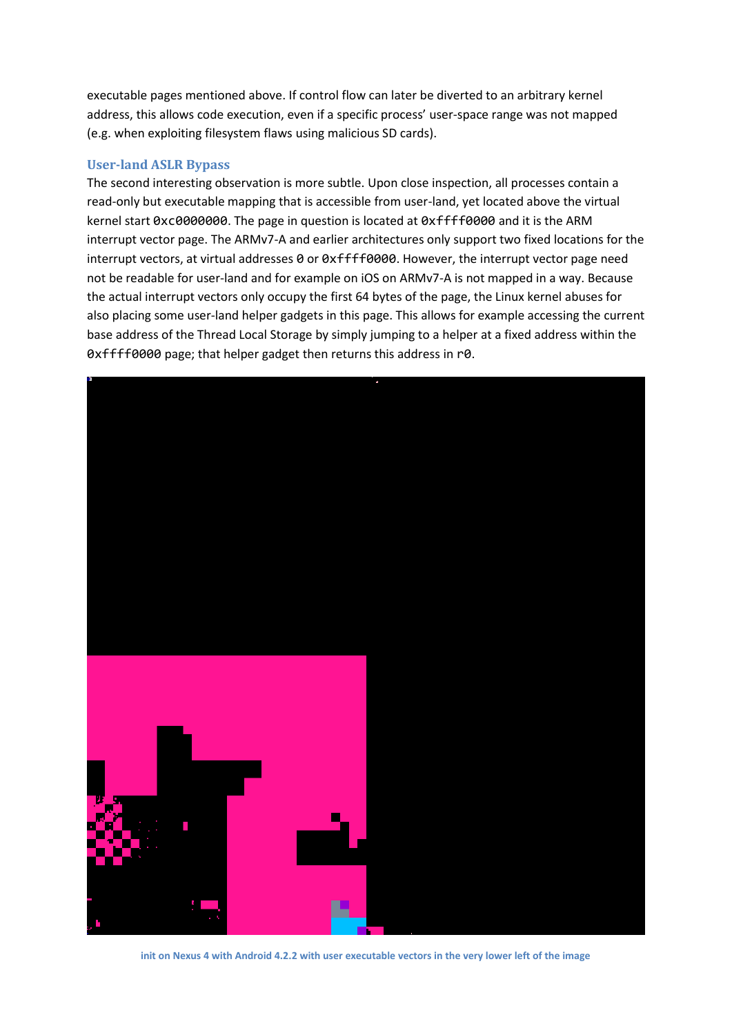executable pages mentioned above. If control flow can later be diverted to an arbitrary kernel address, this allows code execution, even if a specific process' user-space range was not mapped (e.g. when exploiting filesystem flaws using malicious SD cards).

## **User-land ASLR Bypass**

The second interesting observation is more subtle. Upon close inspection, all processes contain a read-only but executable mapping that is accessible from user-land, yet located above the virtual kernel start 0xc0000000. The page in question is located at 0xffff0000 and it is the ARM interrupt vector page. The ARMv7-A and earlier architectures only support two fixed locations for the interrupt vectors, at virtual addresses 0 or 0xffff0000. However, the interrupt vector page need not be readable for user-land and for example on iOS on ARMv7-A is not mapped in a way. Because the actual interrupt vectors only occupy the first 64 bytes of the page, the Linux kernel abuses for also placing some user-land helper gadgets in this page. This allows for example accessing the current base address of the Thread Local Storage by simply jumping to a helper at a fixed address within the 0xffff0000 page; that helper gadget then returns this address in r0.



**init on Nexus 4 with Android 4.2.2 with user executable vectors in the very lower left of the image**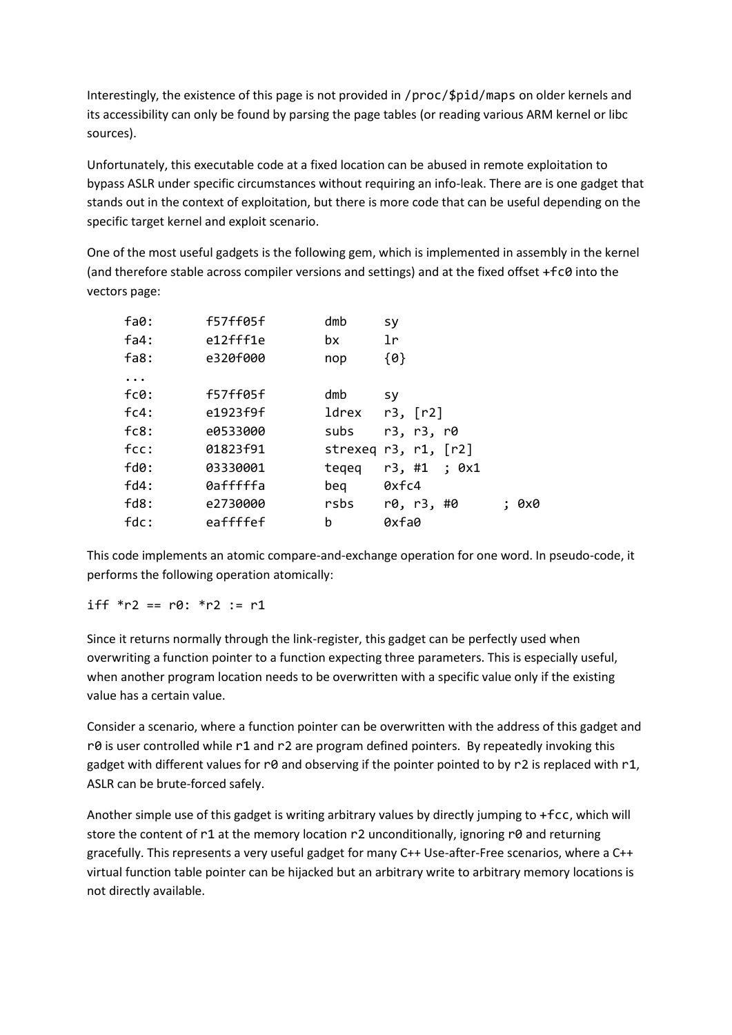Interestingly, the existence of this page is not provided in /proc/\$pid/maps on older kernels and its accessibility can only be found by parsing the page tables (or reading various ARM kernel or libc sources).

Unfortunately, this executable code at a fixed location can be abused in remote exploitation to bypass ASLR under specific circumstances without requiring an info-leak. There are is one gadget that stands out in the context of exploitation, but there is more code that can be useful depending on the specific target kernel and exploit scenario.

One of the most useful gadgets is the following gem, which is implemented in assembly in the kernel (and therefore stable across compiler versions and settings) and at the fixed offset +fc0 into the vectors page:

| fa0:      | f57ff05f | dmb   | sy                     |
|-----------|----------|-------|------------------------|
| fa4:      | e12fff1e | bx.   | lr                     |
| fas:      | e320f000 | nop   | ${0}$                  |
| $\ddotsc$ |          |       |                        |
| fc0:      | f57ff05f | dmb   | sy                     |
| fc4:      | e1923f9f | ldrex | r3, [r2]               |
| fc8:      | e0533000 | subs  | r3, r3, r0             |
| fcc:      | 01823f91 |       | strexeq $r3, r1, [r2]$ |
| $f d0$ :  | 03330001 | tegeg | r3, #1 ; 0x1           |
| fd4:      | 0afffffa | beg   | 0xfc4                  |
| fds:      | e2730000 | rsbs  | r0, r3, #0<br>: 0x0    |
| fdc:      | eaffffef | b     | 0xfa0                  |
|           |          |       |                        |

This code implements an atomic compare-and-exchange operation for one word. In pseudo-code, it performs the following operation atomically:

## iff  $*$ r2 == r0:  $*$ r2 := r1

Since it returns normally through the link-register, this gadget can be perfectly used when overwriting a function pointer to a function expecting three parameters. This is especially useful, when another program location needs to be overwritten with a specific value only if the existing value has a certain value.

Consider a scenario, where a function pointer can be overwritten with the address of this gadget and r $\theta$  is user controlled while r1 and r2 are program defined pointers. By repeatedly invoking this gadget with different values for r0 and observing if the pointer pointed to by r2 is replaced with r1, ASLR can be brute-forced safely.

Another simple use of this gadget is writing arbitrary values by directly jumping to +fcc, which will store the content of r1 at the memory location r2 unconditionally, ignoring r0 and returning gracefully. This represents a very useful gadget for many C++ Use-after-Free scenarios, where a C++ virtual function table pointer can be hijacked but an arbitrary write to arbitrary memory locations is not directly available.